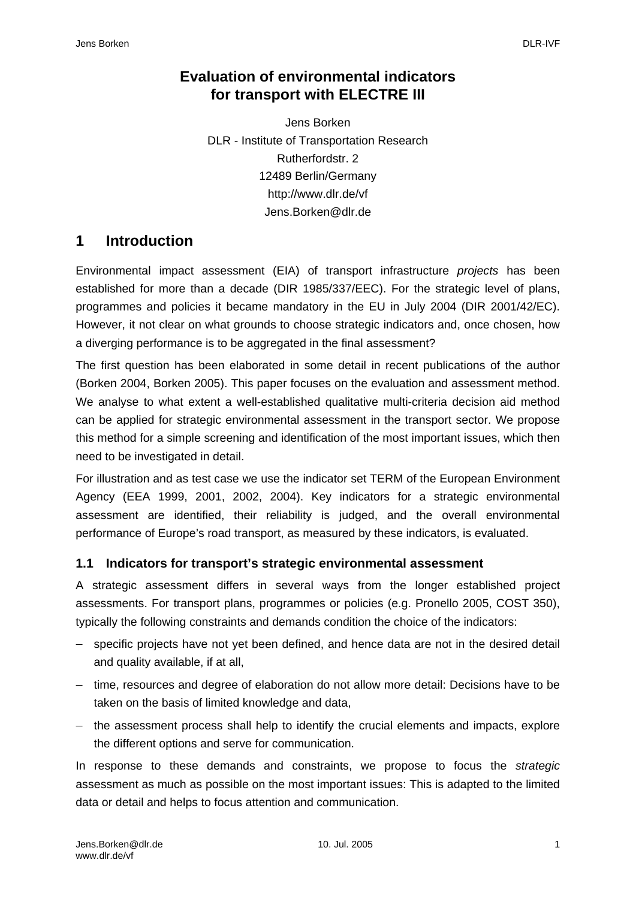## **Evaluation of environmental indicators for transport with ELECTRE III**

Jens Borken DLR - Institute of Transportation Research Rutherfordstr. 2 12489 Berlin/Germany http://www.dlr.de/vf Jens.Borken@dlr.de

## **1 Introduction**

Environmental impact assessment (EIA) of transport infrastructure *projects* has been established for more than a decade (DIR 1985/337/EEC). For the strategic level of plans, programmes and policies it became mandatory in the EU in July 2004 (DIR 2001/42/EC). However, it not clear on what grounds to choose strategic indicators and, once chosen, how a diverging performance is to be aggregated in the final assessment?

The first question has been elaborated in some detail in recent publications of the author (Borken 2004, Borken 2005). This paper focuses on the evaluation and assessment method. We analyse to what extent a well-established qualitative multi-criteria decision aid method can be applied for strategic environmental assessment in the transport sector. We propose this method for a simple screening and identification of the most important issues, which then need to be investigated in detail.

For illustration and as test case we use the indicator set TERM of the European Environment Agency (EEA 1999, 2001, 2002, 2004). Key indicators for a strategic environmental assessment are identified, their reliability is judged, and the overall environmental performance of Europe's road transport, as measured by these indicators, is evaluated.

#### **1.1 Indicators for transport's strategic environmental assessment**

A strategic assessment differs in several ways from the longer established project assessments. For transport plans, programmes or policies (e.g. Pronello 2005, COST 350), typically the following constraints and demands condition the choice of the indicators:

- − specific projects have not yet been defined, and hence data are not in the desired detail and quality available, if at all,
- − time, resources and degree of elaboration do not allow more detail: Decisions have to be taken on the basis of limited knowledge and data,
- − the assessment process shall help to identify the crucial elements and impacts, explore the different options and serve for communication.

In response to these demands and constraints, we propose to focus the *strategic* assessment as much as possible on the most important issues: This is adapted to the limited data or detail and helps to focus attention and communication.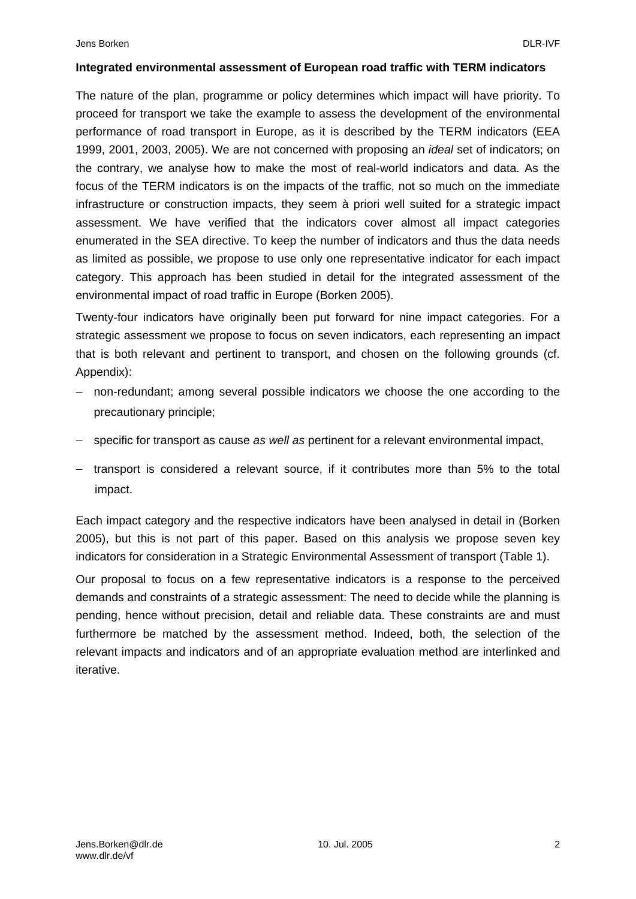#### **Integrated environmental assessment of European road traffic with TERM indicators**

The nature of the plan, programme or policy determines which impact will have priority. To proceed for transport we take the example to assess the development of the environmental performance of road transport in Europe, as it is described by the TERM indicators (EEA 1999, 2001, 2003, 2005). We are not concerned with proposing an *ideal* set of indicators; on the contrary, we analyse how to make the most of real-world indicators and data. As the focus of the TERM indicators is on the impacts of the traffic, not so much on the immediate infrastructure or construction impacts, they seem à priori well suited for a strategic impact assessment. We have verified that the indicators cover almost all impact categories enumerated in the SEA directive. To keep the number of indicators and thus the data needs as limited as possible, we propose to use only one representative indicator for each impact category. This approach has been studied in detail for the integrated assessment of the environmental impact of road traffic in Europe (Borken 2005).

Twenty-four indicators have originally been put forward for nine impact categories. For a strategic assessment we propose to focus on seven indicators, each representing an impact that is both relevant and pertinent to transport, and chosen on the following grounds (cf. Appendix):

- − non-redundant; among several possible indicators we choose the one according to the precautionary principle;
- − specific for transport as cause *as well as* pertinent for a relevant environmental impact,
- − transport is considered a relevant source, if it contributes more than 5% to the total impact.

Each impact category and the respective indicators have been analysed in detail in (Borken 2005), but this is not part of this paper. Based on this analysis we propose seven key indicators for consideration in a Strategic Environmental Assessment of transport (Table 1).

Our proposal to focus on a few representative indicators is a response to the perceived demands and constraints of a strategic assessment: The need to decide while the planning is pending, hence without precision, detail and reliable data. These constraints are and must furthermore be matched by the assessment method. Indeed, both, the selection of the relevant impacts and indicators and of an appropriate evaluation method are interlinked and iterative.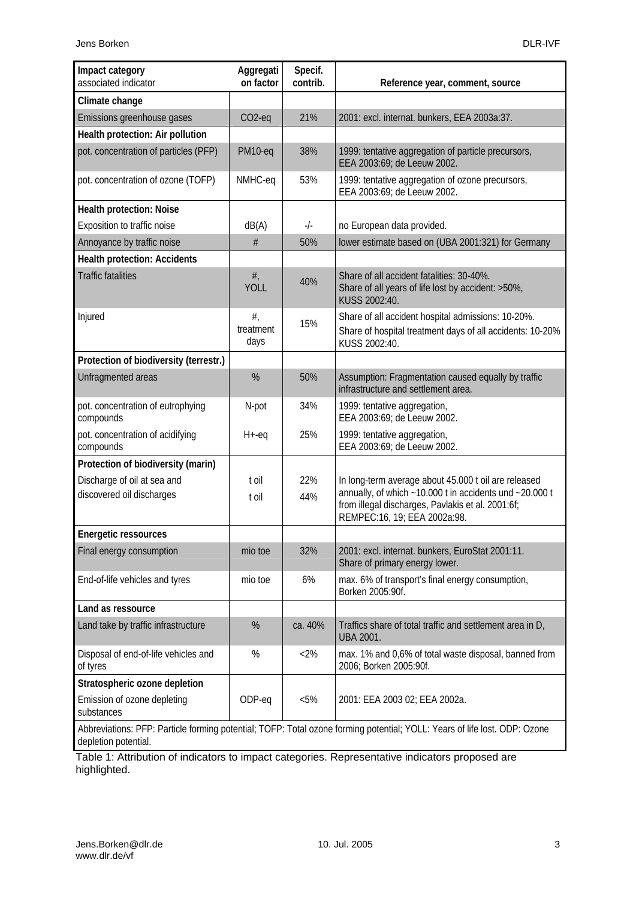| Impact category<br>associated indicator                                                                                                           | Aggregati<br>on factor     | Specif.<br>contrib. | Reference year, comment, source                                                                                                                                                                                  |  |  |
|---------------------------------------------------------------------------------------------------------------------------------------------------|----------------------------|---------------------|------------------------------------------------------------------------------------------------------------------------------------------------------------------------------------------------------------------|--|--|
| Climate change                                                                                                                                    |                            |                     |                                                                                                                                                                                                                  |  |  |
| Emissions greenhouse gases                                                                                                                        | $CO2-eq$                   | 21%                 | 2001: excl. internat. bunkers, EEA 2003a:37.                                                                                                                                                                     |  |  |
| Health protection: Air pollution                                                                                                                  |                            |                     |                                                                                                                                                                                                                  |  |  |
| pot. concentration of particles (PFP)                                                                                                             | PM10-eq                    | 38%                 | 1999: tentative aggregation of particle precursors,<br>EEA 2003:69; de Leeuw 2002.                                                                                                                               |  |  |
| pot. concentration of ozone (TOFP)                                                                                                                | NMHC-eq                    | 53%                 | 1999: tentative aggregation of ozone precursors,<br>EEA 2003:69; de Leeuw 2002.                                                                                                                                  |  |  |
| <b>Health protection: Noise</b>                                                                                                                   |                            |                     |                                                                                                                                                                                                                  |  |  |
| Exposition to traffic noise                                                                                                                       | dB(A)                      | $-/-$               | no European data provided.                                                                                                                                                                                       |  |  |
| Annoyance by traffic noise                                                                                                                        | #                          | 50%                 | lower estimate based on (UBA 2001:321) for Germany                                                                                                                                                               |  |  |
| <b>Health protection: Accidents</b>                                                                                                               |                            |                     |                                                                                                                                                                                                                  |  |  |
| <b>Traffic fatalities</b>                                                                                                                         | $#$ ,<br><b>YOLL</b>       | 40%                 | Share of all accident fatalities: 30-40%.<br>Share of all years of life lost by accident: >50%,<br>KUSS 2002:40.                                                                                                 |  |  |
| Injured                                                                                                                                           | $#$ ,<br>treatment<br>days | 15%                 | Share of all accident hospital admissions: 10-20%.<br>Share of hospital treatment days of all accidents: 10-20%<br>KUSS 2002:40.                                                                                 |  |  |
| Protection of biodiversity (terrestr.)                                                                                                            |                            |                     |                                                                                                                                                                                                                  |  |  |
| Unfragmented areas                                                                                                                                | %                          | 50%                 | Assumption: Fragmentation caused equally by traffic<br>infrastructure and settlement area.                                                                                                                       |  |  |
| pot. concentration of eutrophying<br>compounds                                                                                                    | N-pot                      | 34%                 | 1999: tentative aggregation,<br>EEA 2003:69; de Leeuw 2002.                                                                                                                                                      |  |  |
| pot. concentration of acidifying<br>compounds                                                                                                     | $H + -eq$                  | 25%                 | 1999: tentative aggregation,<br>EEA 2003:69; de Leeuw 2002.                                                                                                                                                      |  |  |
| Protection of biodiversity (marin)                                                                                                                |                            |                     |                                                                                                                                                                                                                  |  |  |
| Discharge of oil at sea and<br>discovered oil discharges                                                                                          | t oil<br>t oil             | 22%<br>44%          | In long-term average about 45.000 t oil are released<br>annually, of which $\sim$ 10.000 t in accidents und $\sim$ 20.000 t<br>from illegal discharges, Pavlakis et al. 2001:6f;<br>REMPEC:16, 19; EEA 2002a:98. |  |  |
| <b>Energetic ressources</b>                                                                                                                       |                            |                     |                                                                                                                                                                                                                  |  |  |
| Final energy consumption                                                                                                                          | mio toe                    | 32%                 | 2001: excl. internat. bunkers, EuroStat 2001:11.<br>Share of primary energy lower.                                                                                                                               |  |  |
| End-of-life vehicles and tyres                                                                                                                    | mio toe                    | 6%                  | max. 6% of transport's final energy consumption,<br>Borken 2005:90f.                                                                                                                                             |  |  |
| Land as ressource                                                                                                                                 |                            |                     |                                                                                                                                                                                                                  |  |  |
| Land take by traffic infrastructure                                                                                                               | %                          | ca. 40%             | Traffics share of total traffic and settlement area in D,<br><b>UBA 2001.</b>                                                                                                                                    |  |  |
| Disposal of end-of-life vehicles and<br>of tyres                                                                                                  | $\%$                       | $<2\%$              | max. 1% and 0,6% of total waste disposal, banned from<br>2006; Borken 2005:90f.                                                                                                                                  |  |  |
| Stratospheric ozone depletion                                                                                                                     |                            |                     |                                                                                                                                                                                                                  |  |  |
| Emission of ozone depleting<br>substances                                                                                                         | ODP-eq                     | $< 5\%$             | 2001: EEA 2003 02; EEA 2002a.                                                                                                                                                                                    |  |  |
| Abbreviations: PFP: Particle forming potential; TOFP: Total ozone forming potential; YOLL: Years of life lost. ODP: Ozone<br>depletion potential. |                            |                     |                                                                                                                                                                                                                  |  |  |

Table 1: Attribution of indicators to impact categories. Representative indicators proposed are highlighted.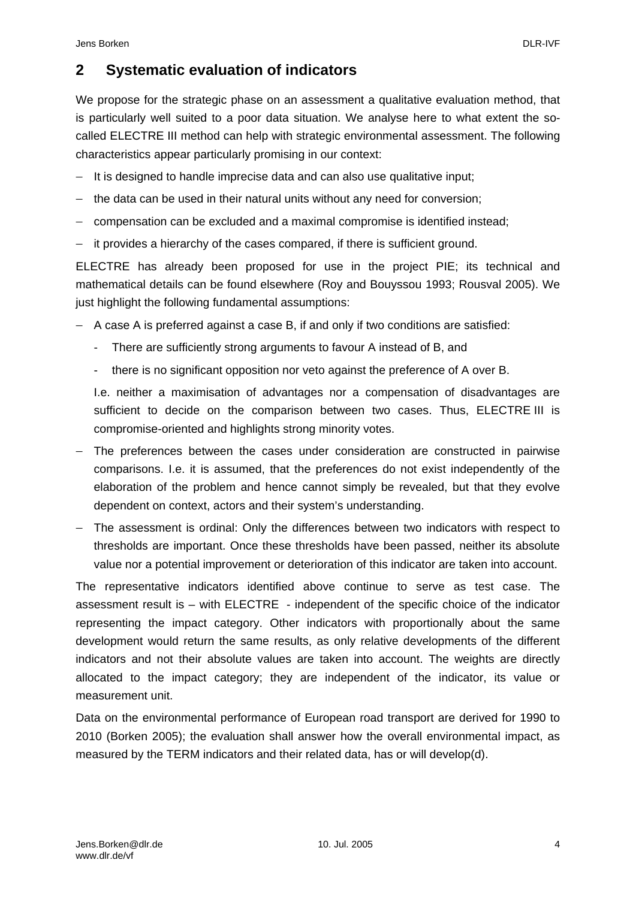# **2 Systematic evaluation of indicators**

We propose for the strategic phase on an assessment a qualitative evaluation method, that is particularly well suited to a poor data situation. We analyse here to what extent the socalled ELECTRE III method can help with strategic environmental assessment. The following characteristics appear particularly promising in our context:

- − It is designed to handle imprecise data and can also use qualitative input;
- the data can be used in their natural units without any need for conversion;
- − compensation can be excluded and a maximal compromise is identified instead;
- it provides a hierarchy of the cases compared, if there is sufficient ground.

ELECTRE has already been proposed for use in the project PIE; its technical and mathematical details can be found elsewhere (Roy and Bouyssou 1993; Rousval 2005). We just highlight the following fundamental assumptions:

- − A case A is preferred against a case B, if and only if two conditions are satisfied:
	- There are sufficiently strong arguments to favour A instead of B, and
	- there is no significant opposition nor veto against the preference of A over B.

I.e. neither a maximisation of advantages nor a compensation of disadvantages are sufficient to decide on the comparison between two cases. Thus, ELECTRE III is compromise-oriented and highlights strong minority votes.

- − The preferences between the cases under consideration are constructed in pairwise comparisons. I.e. it is assumed, that the preferences do not exist independently of the elaboration of the problem and hence cannot simply be revealed, but that they evolve dependent on context, actors and their system's understanding.
- − The assessment is ordinal: Only the differences between two indicators with respect to thresholds are important. Once these thresholds have been passed, neither its absolute value nor a potential improvement or deterioration of this indicator are taken into account.

The representative indicators identified above continue to serve as test case. The assessment result is – with ELECTRE - independent of the specific choice of the indicator representing the impact category. Other indicators with proportionally about the same development would return the same results, as only relative developments of the different indicators and not their absolute values are taken into account. The weights are directly allocated to the impact category; they are independent of the indicator, its value or measurement unit.

Data on the environmental performance of European road transport are derived for 1990 to 2010 (Borken 2005); the evaluation shall answer how the overall environmental impact, as measured by the TERM indicators and their related data, has or will develop(d).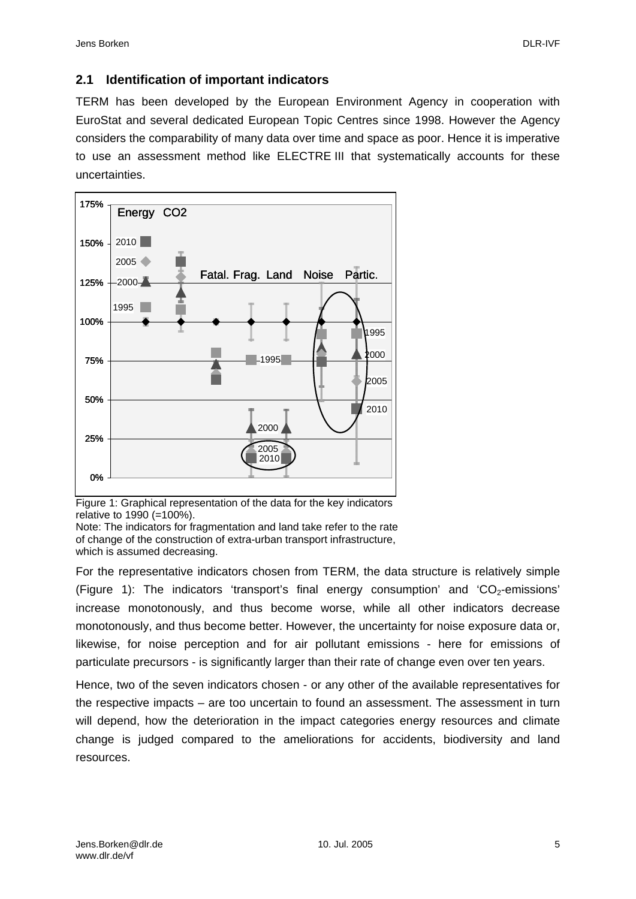#### **2.1 Identification of important indicators**

TERM has been developed by the European Environment Agency in cooperation with EuroStat and several dedicated European Topic Centres since 1998. However the Agency considers the comparability of many data over time and space as poor. Hence it is imperative to use an assessment method like ELECTRE III that systematically accounts for these uncertainties.



Figure 1: Graphical representation of the data for the key indicators relative to 1990 (=100%).

Note: The indicators for fragmentation and land take refer to the rate of change of the construction of extra-urban transport infrastructure, which is assumed decreasing.

For the representative indicators chosen from TERM, the data structure is relatively simple (Figure 1): The indicators 'transport's final energy consumption' and 'CO<sub>2</sub>-emissions' increase monotonously, and thus become worse, while all other indicators decrease monotonously, and thus become better. However, the uncertainty for noise exposure data or, likewise, for noise perception and for air pollutant emissions - here for emissions of particulate precursors - is significantly larger than their rate of change even over ten years.

Hence, two of the seven indicators chosen - or any other of the available representatives for the respective impacts – are too uncertain to found an assessment. The assessment in turn will depend, how the deterioration in the impact categories energy resources and climate change is judged compared to the ameliorations for accidents, biodiversity and land resources.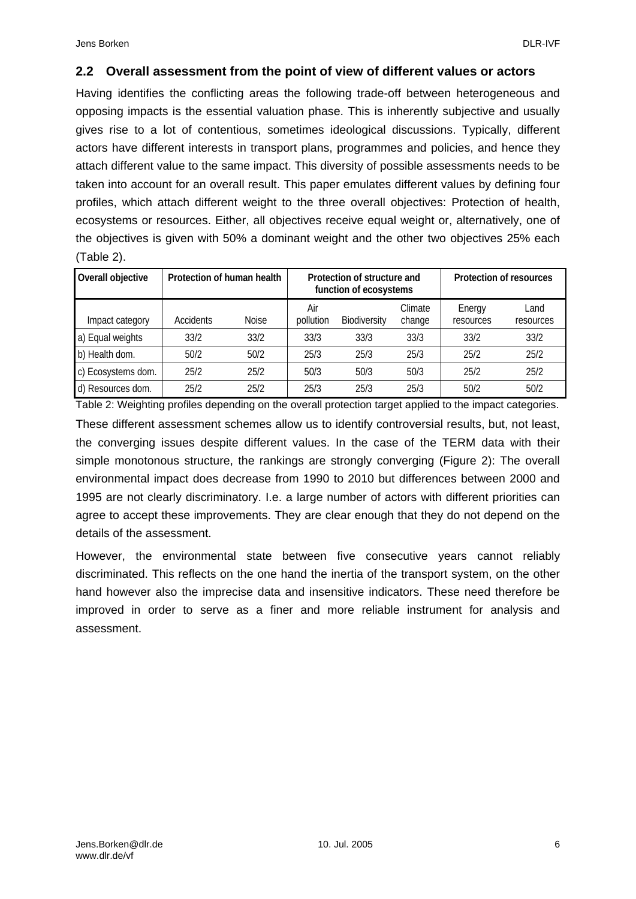#### **2.2 Overall assessment from the point of view of different values or actors**

Having identifies the conflicting areas the following trade-off between heterogeneous and opposing impacts is the essential valuation phase. This is inherently subjective and usually gives rise to a lot of contentious, sometimes ideological discussions. Typically, different actors have different interests in transport plans, programmes and policies, and hence they attach different value to the same impact. This diversity of possible assessments needs to be taken into account for an overall result. This paper emulates different values by defining four profiles, which attach different weight to the three overall objectives: Protection of health, ecosystems or resources. Either, all objectives receive equal weight or, alternatively, one of the objectives is given with 50% a dominant weight and the other two objectives 25% each (Table 2).

| Overall objective  | Protection of human health |              | Protection of structure and<br>function of ecosystems |                     |                   | Protection of resources |                   |
|--------------------|----------------------------|--------------|-------------------------------------------------------|---------------------|-------------------|-------------------------|-------------------|
| Impact category    | Accidents                  | <b>Noise</b> | Air<br>pollution                                      | <b>Biodiversity</b> | Climate<br>change | Energy<br>resources     | Land<br>resources |
| a) Equal weights   | 33/2                       | 33/2         | 33/3                                                  | 33/3                | 33/3              | 33/2                    | 33/2              |
| b) Health dom.     | 50/2                       | 50/2         | 25/3                                                  | 25/3                | 25/3              | 25/2                    | 25/2              |
| c) Ecosystems dom. | 25/2                       | 25/2         | 50/3                                                  | 50/3                | 50/3              | 25/2                    | 25/2              |
| d) Resources dom.  | 25/2                       | 25/2         | 25/3                                                  | 25/3                | 25/3              | 50/2                    | 50/2              |

Table 2: Weighting profiles depending on the overall protection target applied to the impact categories. These different assessment schemes allow us to identify controversial results, but, not least, the converging issues despite different values. In the case of the TERM data with their simple monotonous structure, the rankings are strongly converging (Figure 2): The overall environmental impact does decrease from 1990 to 2010 but differences between 2000 and 1995 are not clearly discriminatory. I.e. a large number of actors with different priorities can agree to accept these improvements. They are clear enough that they do not depend on the details of the assessment.

However, the environmental state between five consecutive years cannot reliably discriminated. This reflects on the one hand the inertia of the transport system, on the other hand however also the imprecise data and insensitive indicators. These need therefore be improved in order to serve as a finer and more reliable instrument for analysis and assessment.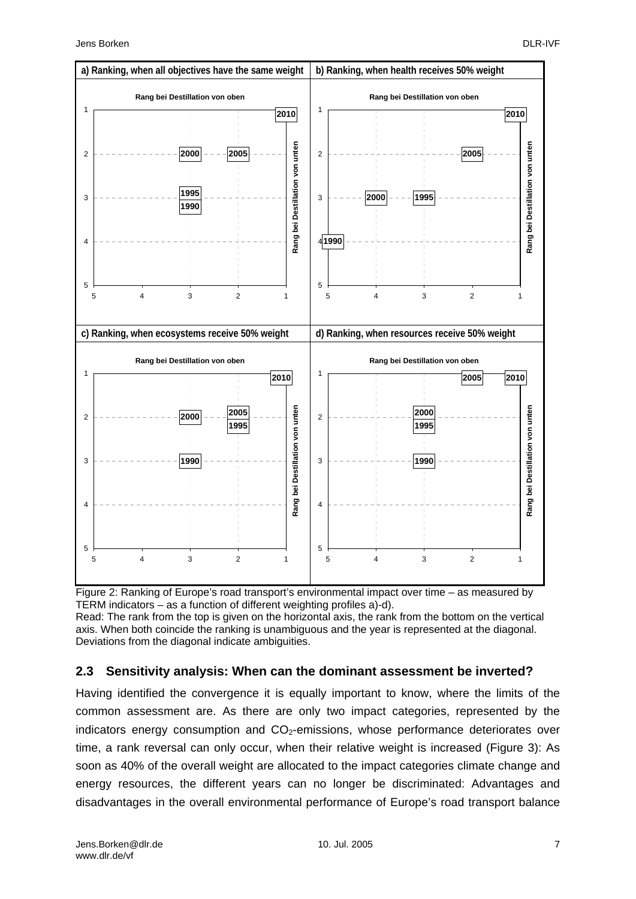



#### **2.3 Sensitivity analysis: When can the dominant assessment be inverted?**

Having identified the convergence it is equally important to know, where the limits of the common assessment are. As there are only two impact categories, represented by the indicators energy consumption and  $CO<sub>2</sub>$ -emissions, whose performance deteriorates over time, a rank reversal can only occur, when their relative weight is increased (Figure 3): As soon as 40% of the overall weight are allocated to the impact categories climate change and energy resources, the different years can no longer be discriminated: Advantages and disadvantages in the overall environmental performance of Europe's road transport balance

Deviations from the diagonal indicate ambiguities.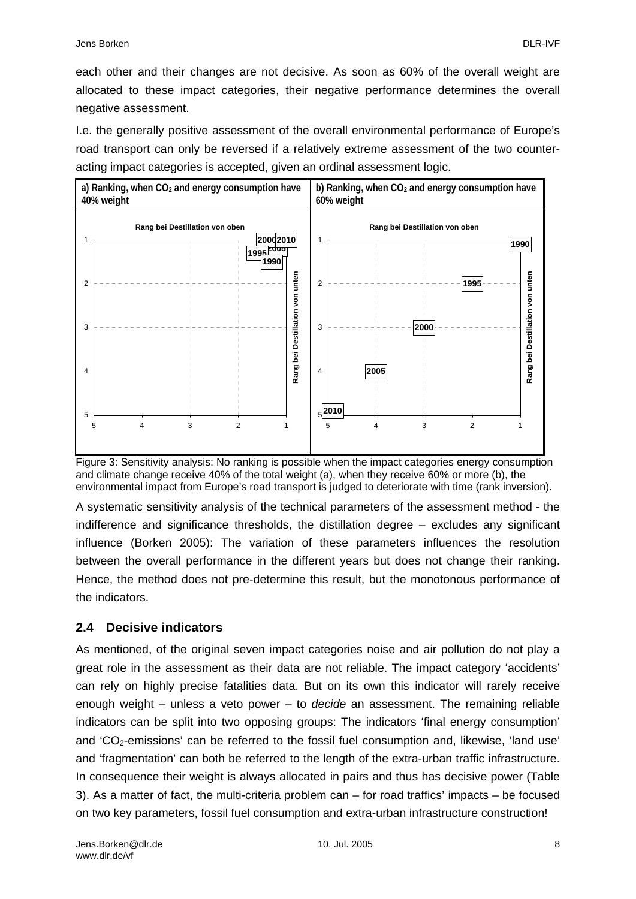each other and their changes are not decisive. As soon as 60% of the overall weight are allocated to these impact categories, their negative performance determines the overall negative assessment.

I.e. the generally positive assessment of the overall environmental performance of Europe's road transport can only be reversed if a relatively extreme assessment of the two counteracting impact categories is accepted, given an ordinal assessment logic.



Figure 3: Sensitivity analysis: No ranking is possible when the impact categories energy consumption and climate change receive 40% of the total weight (a), when they receive 60% or more (b), the environmental impact from Europe's road transport is judged to deteriorate with time (rank inversion).

A systematic sensitivity analysis of the technical parameters of the assessment method - the indifference and significance thresholds, the distillation degree – excludes any significant influence (Borken 2005): The variation of these parameters influences the resolution between the overall performance in the different years but does not change their ranking. Hence, the method does not pre-determine this result, but the monotonous performance of the indicators.

### **2.4 Decisive indicators**

As mentioned, of the original seven impact categories noise and air pollution do not play a great role in the assessment as their data are not reliable. The impact category 'accidents' can rely on highly precise fatalities data. But on its own this indicator will rarely receive enough weight – unless a veto power – to *decide* an assessment. The remaining reliable indicators can be split into two opposing groups: The indicators 'final energy consumption' and 'CO<sub>2</sub>-emissions' can be referred to the fossil fuel consumption and, likewise, 'land use' and 'fragmentation' can both be referred to the length of the extra-urban traffic infrastructure. In consequence their weight is always allocated in pairs and thus has decisive power (Table 3). As a matter of fact, the multi-criteria problem can – for road traffics' impacts – be focused on two key parameters, fossil fuel consumption and extra-urban infrastructure construction!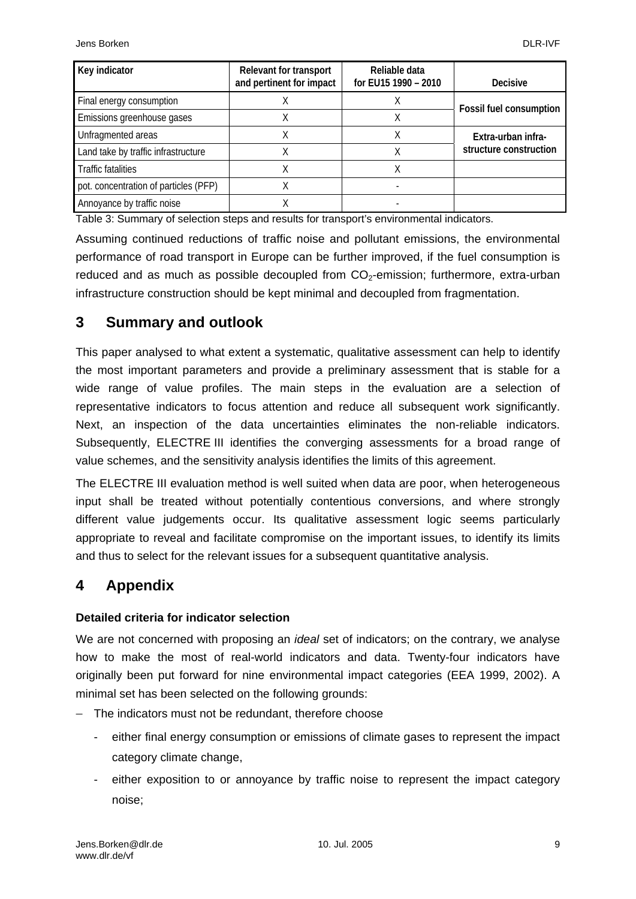| Key indicator                         | <b>Relevant for transport</b><br>and pertinent for impact | Reliable data<br>for EU15 1990 - 2010 | <b>Decisive</b>                              |  |
|---------------------------------------|-----------------------------------------------------------|---------------------------------------|----------------------------------------------|--|
| Final energy consumption              |                                                           |                                       | <b>Fossil fuel consumption</b>               |  |
| Emissions greenhouse gases            |                                                           |                                       |                                              |  |
| Unfragmented areas                    |                                                           |                                       | Extra-urban infra-<br>structure construction |  |
| Land take by traffic infrastructure   |                                                           |                                       |                                              |  |
| <b>Traffic fatalities</b>             |                                                           |                                       |                                              |  |
| pot. concentration of particles (PFP) |                                                           |                                       |                                              |  |
| Annoyance by traffic noise            |                                                           |                                       |                                              |  |

Table 3: Summary of selection steps and results for transport's environmental indicators.

Assuming continued reductions of traffic noise and pollutant emissions, the environmental performance of road transport in Europe can be further improved, if the fuel consumption is reduced and as much as possible decoupled from  $CO<sub>2</sub>$ -emission; furthermore, extra-urban infrastructure construction should be kept minimal and decoupled from fragmentation.

## **3 Summary and outlook**

This paper analysed to what extent a systematic, qualitative assessment can help to identify the most important parameters and provide a preliminary assessment that is stable for a wide range of value profiles. The main steps in the evaluation are a selection of representative indicators to focus attention and reduce all subsequent work significantly. Next, an inspection of the data uncertainties eliminates the non-reliable indicators. Subsequently, ELECTRE III identifies the converging assessments for a broad range of value schemes, and the sensitivity analysis identifies the limits of this agreement.

The ELECTRE III evaluation method is well suited when data are poor, when heterogeneous input shall be treated without potentially contentious conversions, and where strongly different value judgements occur. Its qualitative assessment logic seems particularly appropriate to reveal and facilitate compromise on the important issues, to identify its limits and thus to select for the relevant issues for a subsequent quantitative analysis.

## **4 Appendix**

#### **Detailed criteria for indicator selection**

We are not concerned with proposing an *ideal* set of indicators; on the contrary, we analyse how to make the most of real-world indicators and data. Twenty-four indicators have originally been put forward for nine environmental impact categories (EEA 1999, 2002). A minimal set has been selected on the following grounds:

- − The indicators must not be redundant, therefore choose
	- either final energy consumption or emissions of climate gases to represent the impact category climate change,
	- either exposition to or annoyance by traffic noise to represent the impact category noise;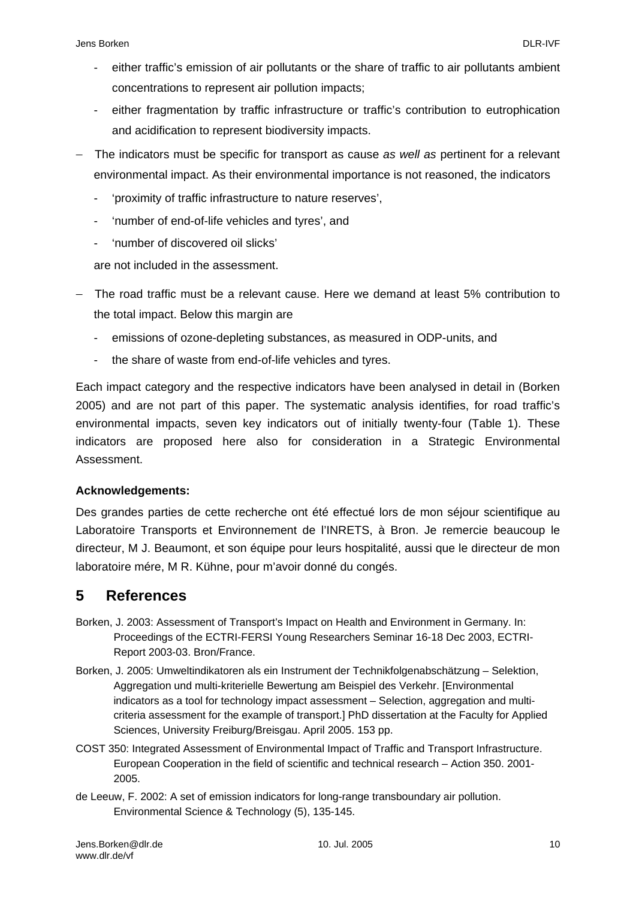- either traffic's emission of air pollutants or the share of traffic to air pollutants ambient concentrations to represent air pollution impacts;
- either fragmentation by traffic infrastructure or traffic's contribution to eutrophication and acidification to represent biodiversity impacts.
- − The indicators must be specific for transport as cause *as well as* pertinent for a relevant environmental impact. As their environmental importance is not reasoned, the indicators
	- 'proximity of traffic infrastructure to nature reserves',
	- 'number of end-of-life vehicles and tyres', and
	- 'number of discovered oil slicks'

are not included in the assessment.

- − The road traffic must be a relevant cause. Here we demand at least 5% contribution to the total impact. Below this margin are
	- emissions of ozone-depleting substances, as measured in ODP-units, and
	- the share of waste from end-of-life vehicles and tyres.

Each impact category and the respective indicators have been analysed in detail in (Borken 2005) and are not part of this paper. The systematic analysis identifies, for road traffic's environmental impacts, seven key indicators out of initially twenty-four (Table 1). These indicators are proposed here also for consideration in a Strategic Environmental Assessment.

#### **Acknowledgements:**

Des grandes parties de cette recherche ont été effectué lors de mon séjour scientifique au Laboratoire Transports et Environnement de l'INRETS, à Bron. Je remercie beaucoup le directeur, M J. Beaumont, et son équipe pour leurs hospitalité, aussi que le directeur de mon laboratoire mére, M R. Kühne, pour m'avoir donné du congés.

## **5 References**

- Borken, J. 2003: Assessment of Transport's Impact on Health and Environment in Germany. In: Proceedings of the ECTRI-FERSI Young Researchers Seminar 16-18 Dec 2003, ECTRI-Report 2003-03. Bron/France.
- Borken, J. 2005: Umweltindikatoren als ein Instrument der Technikfolgenabschätzung Selektion, Aggregation und multi-kriterielle Bewertung am Beispiel des Verkehr. [Environmental indicators as a tool for technology impact assessment – Selection, aggregation and multicriteria assessment for the example of transport.] PhD dissertation at the Faculty for Applied Sciences, University Freiburg/Breisgau. April 2005. 153 pp.
- COST 350: Integrated Assessment of Environmental Impact of Traffic and Transport Infrastructure. European Cooperation in the field of scientific and technical research – Action 350. 2001- 2005.
- de Leeuw, F. 2002: A set of emission indicators for long-range transboundary air pollution. Environmental Science & Technology (5), 135-145.